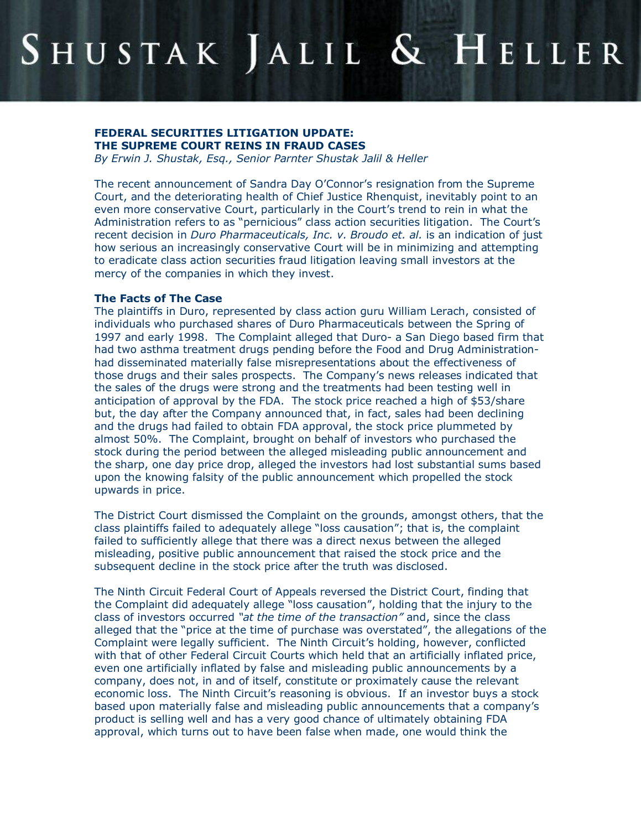# SHUSTAK JALIL & HELLER

## **FEDERAL SECURITIES LITIGATION UPDATE: THE SUPREME COURT REINS IN FRAUD CASES**

*By Erwin J. Shustak, Esq., Senior Parnter Shustak Jalil & Heller*

The recent announcement of Sandra Day O'Connor's resignation from the Supreme Court, and the deteriorating health of Chief Justice Rhenquist, inevitably point to an even more conservative Court, particularly in the Court's trend to rein in what the Administration refers to as "pernicious" class action securities litigation. The Court's recent decision in *Duro Pharmaceuticals, Inc. v. Broudo et. al.* is an indication of just how serious an increasingly conservative Court will be in minimizing and attempting to eradicate class action securities fraud litigation leaving small investors at the mercy of the companies in which they invest.

#### **The Facts of The Case**

The plaintiffs in Duro, represented by class action guru William Lerach, consisted of individuals who purchased shares of Duro Pharmaceuticals between the Spring of 1997 and early 1998. The Complaint alleged that Duro- a San Diego based firm that had two asthma treatment drugs pending before the Food and Drug Administration had disseminated materially false misrepresentations about the effectiveness of those drugs and their sales prospects. The Company's news releases indicated that the sales of the drugs were strong and the treatments had been testing well in anticipation of approval by the FDA. The stock price reached a high of \$53/share but, the day after the Company announced that, in fact, sales had been declining and the drugs had failed to obtain FDA approval, the stock price plummeted by almost 50%. The Complaint, brought on behalf of investors who purchased the stock during the period between the alleged misleading public announcement and the sharp, one day price drop, alleged the investors had lost substantial sums based upon the knowing falsity of the public announcement which propelled the stock upwards in price.

The District Court dismissed the Complaint on the grounds, amongst others, that the class plaintiffs failed to adequately allege "loss causation"; that is, the complaint failed to sufficiently allege that there was a direct nexus between the alleged misleading, positive public announcement that raised the stock price and the subsequent decline in the stock price after the truth was disclosed.

The Ninth Circuit Federal Court of Appeals reversed the District Court, finding that the Complaint did adequately allege "loss causation", holding that the injury to the class of investors occurred *"at the time of the transaction"* and, since the class alleged that the "price at the time of purchase was overstated", the allegations of the Complaint were legally sufficient. The Ninth Circuit's holding, however, conflicted with that of other Federal Circuit Courts which held that an artificially inflated price, even one artificially inflated by false and misleading public announcements by a company, does not, in and of itself, constitute or proximately cause the relevant economic loss. The Ninth Circuit's reasoning is obvious. If an investor buys a stock based upon materially false and misleading public announcements that a company's product is selling well and has a very good chance of ultimately obtaining FDA approval, which turns out to have been false when made, one would think the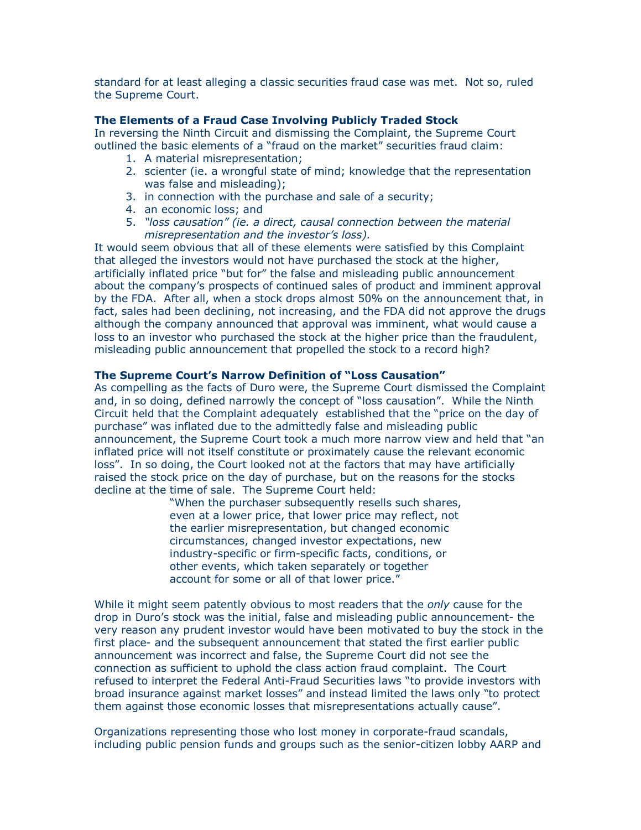standard for at least alleging a classic securities fraud case was met. Not so, ruled the Supreme Court.

#### **The Elements of a Fraud Case Involving Publicly Traded Stock**

In reversing the Ninth Circuit and dismissing the Complaint, the Supreme Court outlined the basic elements of a "fraud on the market" securities fraud claim:

- 1. A material misrepresentation;
- 2. scienter (ie. a wrongful state of mind; knowledge that the representation was false and misleading);
- 3. in connection with the purchase and sale of a security;
- 4. an economic loss; and
- 5. *"loss causation" (ie. a direct, causal connection between the material misrepresentation and the investor's loss).*

It would seem obvious that all of these elements were satisfied by this Complaint that alleged the investors would not have purchased the stock at the higher, artificially inflated price "but for" the false and misleading public announcement about the company's prospects of continued sales of product and imminent approval by the FDA. After all, when a stock drops almost 50% on the announcement that, in fact, sales had been declining, not increasing, and the FDA did not approve the drugs although the company announced that approval was imminent, what would cause a loss to an investor who purchased the stock at the higher price than the fraudulent, misleading public announcement that propelled the stock to a record high?

### **The Supreme Court's Narrow Definition of "Loss Causation"**

As compelling as the facts of Duro were, the Supreme Court dismissed the Complaint and, in so doing, defined narrowly the concept of "loss causation". While the Ninth Circuit held that the Complaint adequately established that the "price on the day of purchase" was inflated due to the admittedly false and misleading public announcement, the Supreme Court took a much more narrow view and held that "an inflated price will not itself constitute or proximately cause the relevant economic loss". In so doing, the Court looked not at the factors that may have artificially raised the stock price on the day of purchase, but on the reasons for the stocks decline at the time of sale. The Supreme Court held:

> "When the purchaser subsequently resells such shares, even at a lower price, that lower price may reflect, not the earlier misrepresentation, but changed economic circumstances, changed investor expectations, new industry-specific or firm-specific facts, conditions, or other events, which taken separately or together account for some or all of that lower price."

While it might seem patently obvious to most readers that the *only* cause for the drop in Duro's stock was the initial, false and misleading public announcement-the very reason any prudent investor would have been motivated to buy the stock in the first place- and the subsequent announcement that stated the first earlier public announcement was incorrect and false, the Supreme Court did not see the connection as sufficient to uphold the class action fraud complaint. The Court refused to interpret the Federal Anti-Fraud Securities laws "to provide investors with broad insurance against market losses" and instead limited the laws only "to protect them against those economic losses that misrepresentations actually cause".

Organizations representing those who lost money in corporate-fraud scandals, including public pension funds and groups such as the senior-citizen lobby AARP and